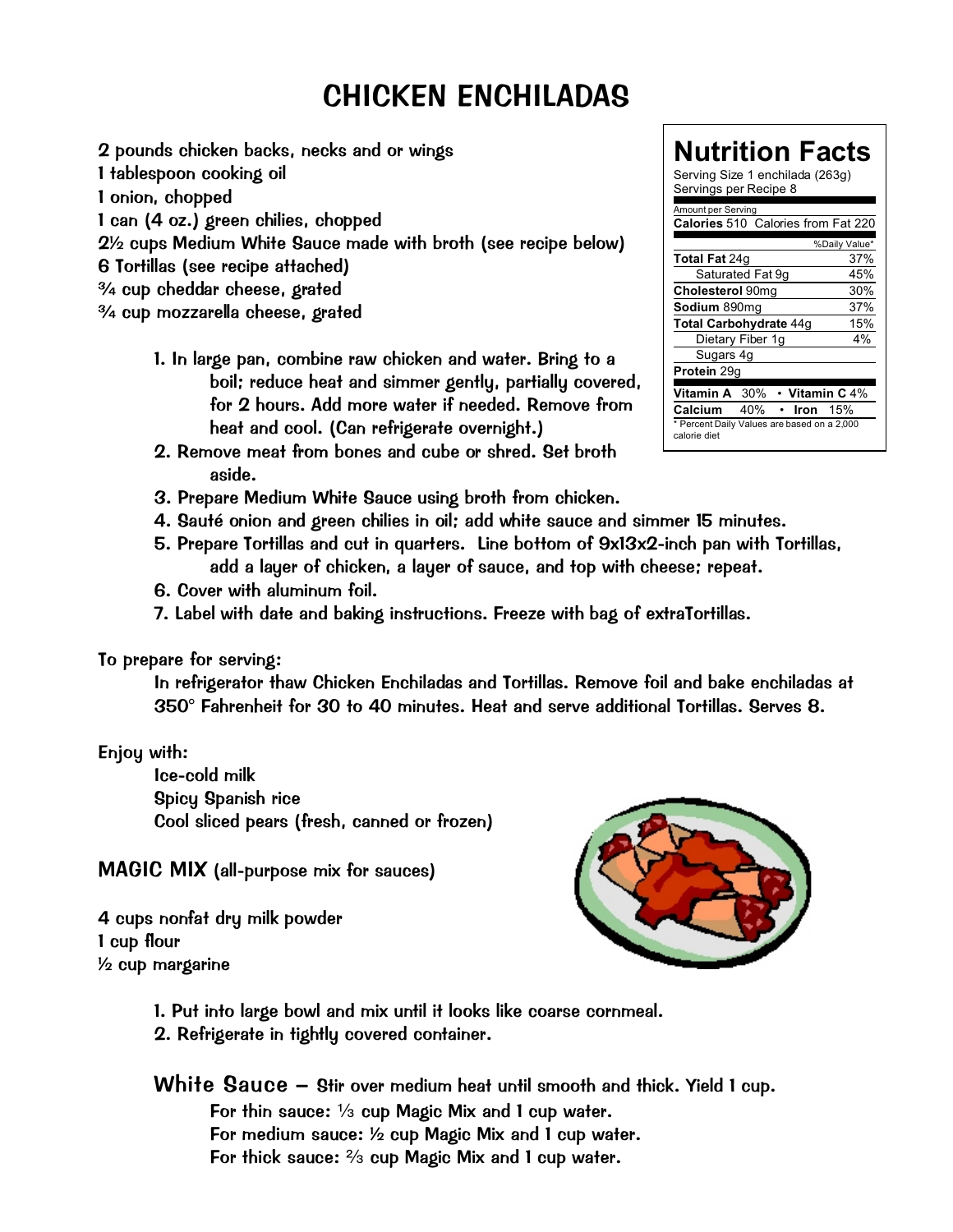## CHICKEN ENCHILADAS

2 pounds chicken backs, necks and or wings 1 tablespoon cooking oil 1 onion, chopped 1 can (4 oz.) green chilies, chopped 2½ cups *Medium White Sauce* made with broth (see recipe below) 6 *Tortillas* (see recipe attached) ¾ cup cheddar cheese, grated ¾ cup mozzarella cheese, grated

- 1. In large pan, combine raw chicken and water. Bring to a boil; reduce heat and simmer gently, partially covered, for 2 hours. Add more water if needed. Remove from heat and cool. (Can refrigerate overnight.)
- 2. Remove meat from bones and cube or shred. Set broth aside.
- 3. Prepare *Medium White Sauce* using broth from chicken.
- 4. Sauté onion and green chilies in oil; add white sauce and simmer 15 minutes.
- 5. Prepare *Tortillas* and cut in quarters. Line bottom of 9x13x2-inch pan with *Tortillas*, add a layer of chicken, a layer of sauce, and top with cheese; repeat.
- 6. Cover with aluminum foil.
- 7. Label with date and baking instructions. Freeze with bag of extra*Tortillas.*

To prepare for serving:

In refrigerator thaw *Chicken Enchiladas* and *Tortillas.* Remove foil and bake enchiladas at 350° Fahrenheit for 30 to 40 minutes. Heat and serve additional *Tortillas.* Serves 8.

## Enjoy with:

Ice-cold milk Spicy Spanish rice Cool sliced pears (fresh, canned or frozen)

MAGIC MIX (all-purpose mix for sauces)

4 cups nonfat dry milk powder 1 cup flour ½ cup margarine



- 1. Put into large bowl and mix until it looks like coarse cornmeal.
- 2. Refrigerate in tightly covered container.

White Sauce – Stir over medium heat until smooth and thick. Yield 1 cup. For thin sauce: 1/<sub>3</sub> cup Magic Mix and 1 cup water. For medium sauce: ½ cup *Magic Mix* and 1 cup water. For thick sauce:  $\frac{2}{3}$  cup Magic Mix and 1 cup water.

| Nutrition Facts<br>Serving Size 1 enchilada (263g)<br>Servings per Recipe 8 |
|-----------------------------------------------------------------------------|
| Amount per Serving                                                          |
| Calories 510 Calories from Fat 220                                          |
| %Daily Value*                                                               |
| Total Fat 24g<br>37%                                                        |
| Saturated Fat 9g<br>45%                                                     |
| Cholesterol 90mg<br>30%                                                     |
| 37%<br>Sodium 890mg                                                         |
| Total Carbohydrate 44g<br>15%                                               |
| 4%<br>Dietary Fiber 1g                                                      |
| Sugars 4g                                                                   |
| Protein 29g                                                                 |
| Vitamin A 30%<br>• Vitamin C $4\%$                                          |
| Calcium 40%<br>15%<br>Iron                                                  |
| * Percent Daily Values are based on a 2,000<br>calorie diet                 |